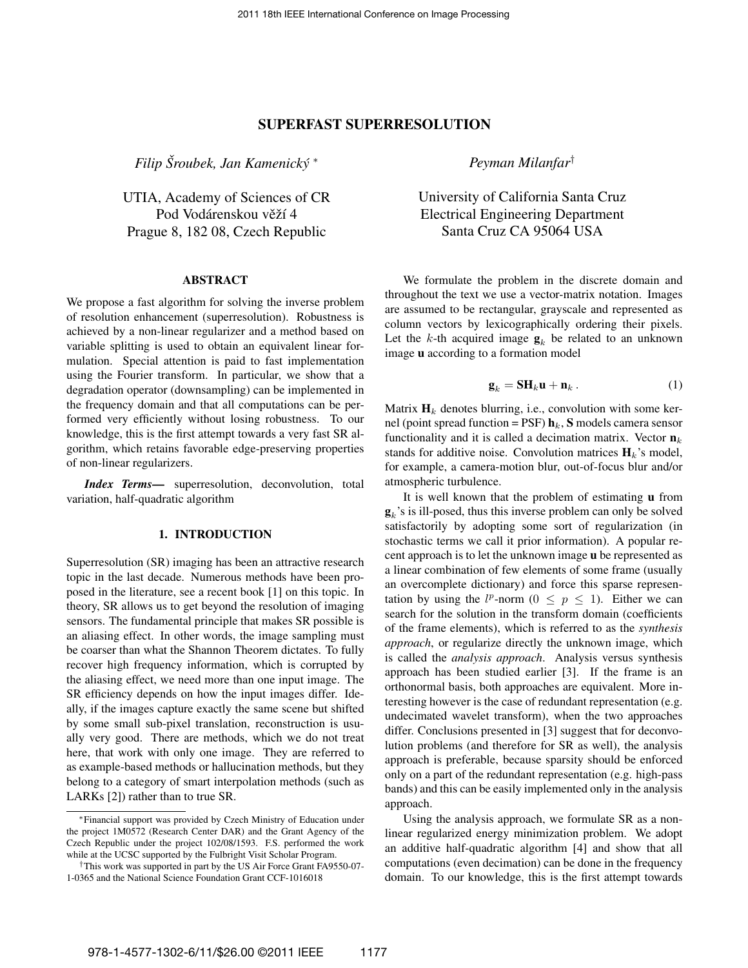# SUPERFAST SUPERRESOLUTION

*Filip Sroubek, Jan Kamenick ˇ y´* ∗

UTIA, Academy of Sciences of CR Pod Vodárenskou věží 4 Prague 8, 182 08, Czech Republic

## ABSTRACT

We propose a fast algorithm for solving the inverse problem of resolution enhancement (superresolution). Robustness is achieved by a non-linear regularizer and a method based on variable splitting is used to obtain an equivalent linear formulation. Special attention is paid to fast implementation using the Fourier transform. In particular, we show that a degradation operator (downsampling) can be implemented in the frequency domain and that all computations can be performed very efficiently without losing robustness. To our knowledge, this is the first attempt towards a very fast SR algorithm, which retains favorable edge-preserving properties of non-linear regularizers.

*Index Terms*— superresolution, deconvolution, total variation, half-quadratic algorithm

## 1. INTRODUCTION

Superresolution (SR) imaging has been an attractive research topic in the last decade. Numerous methods have been proposed in the literature, see a recent book [1] on this topic. In theory, SR allows us to get beyond the resolution of imaging sensors. The fundamental principle that makes SR possible is an aliasing effect. In other words, the image sampling must be coarser than what the Shannon Theorem dictates. To fully recover high frequency information, which is corrupted by the aliasing effect, we need more than one input image. The SR efficiency depends on how the input images differ. Ideally, if the images capture exactly the same scene but shifted by some small sub-pixel translation, reconstruction is usually very good. There are methods, which we do not treat here, that work with only one image. They are referred to as example-based methods or hallucination methods, but they belong to a category of smart interpolation methods (such as LARKs [2]) rather than to true SR.

*Peyman Milanfar*†

University of California Santa Cruz Electrical Engineering Department Santa Cruz CA 95064 USA

We formulate the problem in the discrete domain and throughout the text we use a vector-matrix notation. Images are assumed to be rectangular, grayscale and represented as column vectors by lexicographically ordering their pixels. Let the k-th acquired image  $\mathbf{g}_k$  be related to an unknown image u according to a formation model

$$
\mathbf{g}_k = \mathbf{S} \mathbf{H}_k \mathbf{u} + \mathbf{n}_k \,. \tag{1}
$$

Matrix  $H_k$  denotes blurring, i.e., convolution with some kernel (point spread function = PSF)  $\mathbf{h}_k$ , S models camera sensor functionality and it is called a decimation matrix. Vector  $\mathbf{n}_k$ stands for additive noise. Convolution matrices  $H_k$ 's model, for example, a camera-motion blur, out-of-focus blur and/or atmospheric turbulence.

It is well known that the problem of estimating u from  $\mathbf{g}_k$ 's is ill-posed, thus this inverse problem can only be solved satisfactorily by adopting some sort of regularization (in stochastic terms we call it prior information). A popular recent approach is to let the unknown image u be represented as a linear combination of few elements of some frame (usually an overcomplete dictionary) and force this sparse representation by using the  $l^p$ -norm  $(0 \leq p \leq 1)$ . Either we can search for the solution in the transform domain (coefficients of the frame elements), which is referred to as the *synthesis approach*, or regularize directly the unknown image, which is called the *analysis approach*. Analysis versus synthesis approach has been studied earlier [3]. If the frame is an orthonormal basis, both approaches are equivalent. More interesting however is the case of redundant representation (e.g. undecimated wavelet transform), when the two approaches differ. Conclusions presented in [3] suggest that for deconvolution problems (and therefore for SR as well), the analysis approach is preferable, because sparsity should be enforced only on a part of the redundant representation (e.g. high-pass bands) and this can be easily implemented only in the analysis approach.

Using the analysis approach, we formulate SR as a nonlinear regularized energy minimization problem. We adopt an additive half-quadratic algorithm [4] and show that all computations (even decimation) can be done in the frequency domain. To our knowledge, this is the first attempt towards

<sup>∗</sup>Financial support was provided by Czech Ministry of Education under the project 1M0572 (Research Center DAR) and the Grant Agency of the Czech Republic under the project 102/08/1593. F.S. performed the work while at the UCSC supported by the Fulbright Visit Scholar Program.

<sup>†</sup>This work was supported in part by the US Air Force Grant FA9550-07- 1-0365 and the National Science Foundation Grant CCF-1016018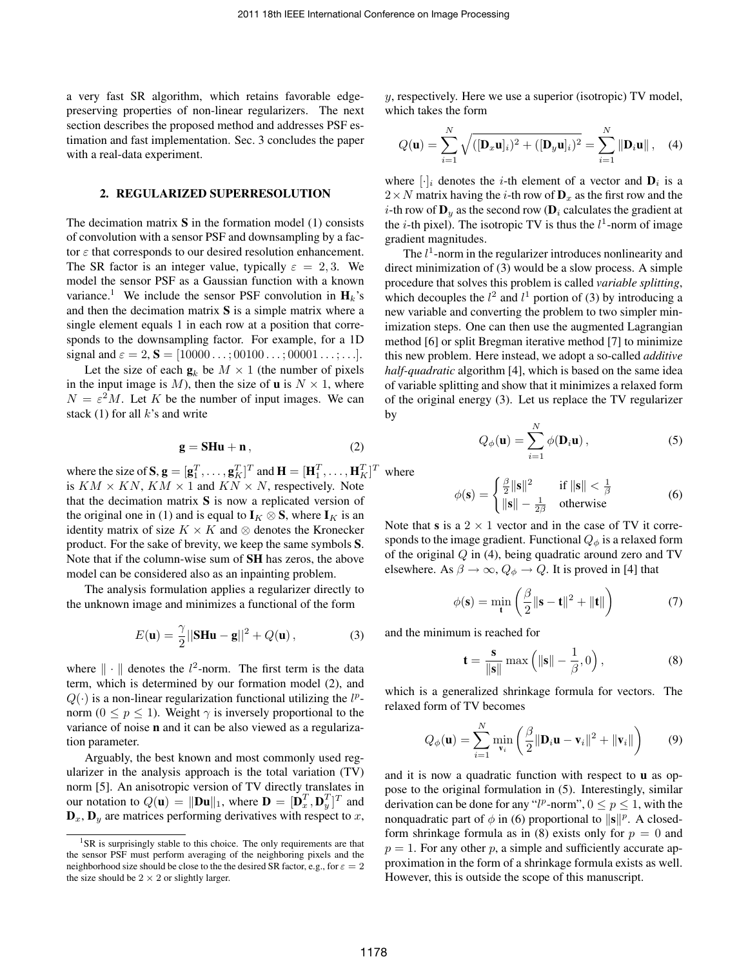a very fast SR algorithm, which retains favorable edgepreserving properties of non-linear regularizers. The next section describes the proposed method and addresses PSF estimation and fast implementation. Sec. 3 concludes the paper with a real-data experiment.

### 2. REGULARIZED SUPERRESOLUTION

The decimation matrix  $S$  in the formation model (1) consists of convolution with a sensor PSF and downsampling by a factor  $\varepsilon$  that corresponds to our desired resolution enhancement. The SR factor is an integer value, typically  $\varepsilon = 2, 3$ . We model the sensor PSF as a Gaussian function with a known variance.<sup>1</sup> We include the sensor PSF convolution in  $H_k$ 's and then the decimation matrix  $S$  is a simple matrix where a single element equals 1 in each row at a position that corresponds to the downsampling factor. For example, for a 1D signal and  $\varepsilon = 2$ ,  $S = [10000 \dots; 00100 \dots; 00001 \dots; \dots].$ 

Let the size of each  $\mathbf{g}_k$  be  $M \times 1$  (the number of pixels in the input image is M), then the size of **u** is  $N \times 1$ , where  $N = \varepsilon^2 M$ . Let K be the number of input images. We can stack (1) for all  $k$ 's and write

$$
\mathbf{g} = \mathbf{S} \mathbf{H} \mathbf{u} + \mathbf{n} \,, \tag{2}
$$

where the size of  $S, g = [g_1^T, \dots, g_K^T]^T$  and  $\mathbf{H} = [\mathbf{H}_1^T, \dots, \mathbf{H}_K^T]^T$  where is  $KM \times KN$ ,  $KM \times 1$  and  $KN \times N$ , respectively. Note that the decimation matrix  $S$  is now a replicated version of the original one in (1) and is equal to  $I_K \otimes S$ , where  $I_K$  is an identity matrix of size  $K \times K$  and  $\otimes$  denotes the Kronecker product. For the sake of brevity, we keep the same symbols S. Note that if the column-wise sum of SH has zeros, the above model can be considered also as an inpainting problem.

The analysis formulation applies a regularizer directly to the unknown image and minimizes a functional of the form

$$
E(\mathbf{u}) = \frac{\gamma}{2} ||\mathbf{S} \mathbf{H} \mathbf{u} - \mathbf{g}||^2 + Q(\mathbf{u}), \qquad (3)
$$

where  $\|\cdot\|$  denotes the  $l^2$ -norm. The first term is the data term, which is determined by our formation model (2), and  $Q(\cdot)$  is a non-linear regularization functional utilizing the  $l^p$ norm ( $0 \le p \le 1$ ). Weight  $\gamma$  is inversely proportional to the variance of noise n and it can be also viewed as a regularization parameter.

Arguably, the best known and most commonly used regularizer in the analysis approach is the total variation (TV) norm [5]. An anisotropic version of TV directly translates in our notation to  $Q(\mathbf{u}) = ||\mathbf{D}\mathbf{u}||_1$ , where  $\mathbf{D} = [\mathbf{D}_x^T, \mathbf{D}_y^T]^T$  and  $\mathbf{D}_x$ ,  $\mathbf{D}_y$  are matrices performing derivatives with respect to x,  $y$ , respectively. Here we use a superior (isotropic) TV model, which takes the form

$$
Q(\mathbf{u}) = \sum_{i=1}^{N} \sqrt{([\mathbf{D}_x \mathbf{u}]_i)^2 + ([\mathbf{D}_y \mathbf{u}]_i)^2} = \sum_{i=1}^{N} ||\mathbf{D}_i \mathbf{u}||, \quad (4)
$$

where  $[\cdot]_i$  denotes the *i*-th element of a vector and  $\mathbf{D}_i$  is a  $2 \times N$  matrix having the *i*-th row of  $D_x$  as the first row and the *i*-th row of  $\mathbf{D}_y$  as the second row ( $\mathbf{D}_i$  calculates the gradient at the *i*-th pixel). The isotropic TV is thus the  $l^1$ -norm of image gradient magnitudes.

The  $l<sup>1</sup>$ -norm in the regularizer introduces nonlinearity and direct minimization of (3) would be a slow process. A simple procedure that solves this problem is called *variable splitting*, which decouples the  $l^2$  and  $l^1$  portion of (3) by introducing a new variable and converting the problem to two simpler minimization steps. One can then use the augmented Lagrangian method [6] or split Bregman iterative method [7] to minimize this new problem. Here instead, we adopt a so-called *additive half-quadratic* algorithm [4], which is based on the same idea of variable splitting and show that it minimizes a relaxed form of the original energy (3). Let us replace the TV regularizer by

$$
Q_{\phi}(\mathbf{u}) = \sum_{i=1}^{N} \phi(\mathbf{D}_i \mathbf{u}), \qquad (5)
$$

$$
\phi(\mathbf{s}) = \begin{cases} \frac{\beta}{2} \|\mathbf{s}\|^2 & \text{if } \|\mathbf{s}\| < \frac{1}{\beta} \\ \|\mathbf{s}\| - \frac{1}{2\beta} & \text{otherwise} \end{cases}
$$
(6)

Note that s is a  $2 \times 1$  vector and in the case of TV it corresponds to the image gradient. Functional  $Q_{\phi}$  is a relaxed form of the original  $Q$  in (4), being quadratic around zero and TV elsewhere. As  $\beta \to \infty$ ,  $Q_{\phi} \to Q$ . It is proved in [4] that

$$
\phi(\mathbf{s}) = \min_{\mathbf{t}} \left( \frac{\beta}{2} \|\mathbf{s} - \mathbf{t}\|^2 + \|\mathbf{t}\| \right) \tag{7}
$$

and the minimum is reached for

$$
\mathbf{t} = \frac{\mathbf{s}}{\|\mathbf{s}\|} \max\left(\|\mathbf{s}\| - \frac{1}{\beta}, 0\right),\tag{8}
$$

which is a generalized shrinkage formula for vectors. The relaxed form of TV becomes

$$
Q_{\phi}(\mathbf{u}) = \sum_{i=1}^{N} \min_{\mathbf{v}_i} \left( \frac{\beta}{2} \|\mathbf{D}_i \mathbf{u} - \mathbf{v}_i\|^2 + \|\mathbf{v}_i\| \right) \tag{9}
$$

and it is now a quadratic function with respect to **u** as oppose to the original formulation in (5). Interestingly, similar derivation can be done for any " $l^p$ -norm",  $0 \le p \le 1$ , with the nonquadratic part of  $\phi$  in (6) proportional to  $\|\mathbf{s}\|^p$ . A closedform shrinkage formula as in (8) exists only for  $p = 0$  and  $p = 1$ . For any other p, a simple and sufficiently accurate approximation in the form of a shrinkage formula exists as well. However, this is outside the scope of this manuscript.

<sup>&</sup>lt;sup>1</sup>SR is surprisingly stable to this choice. The only requirements are that the sensor PSF must perform averaging of the neighboring pixels and the neighborhood size should be close to the the desired SR factor, e.g., for  $\varepsilon = 2$ the size should be  $2 \times 2$  or slightly larger.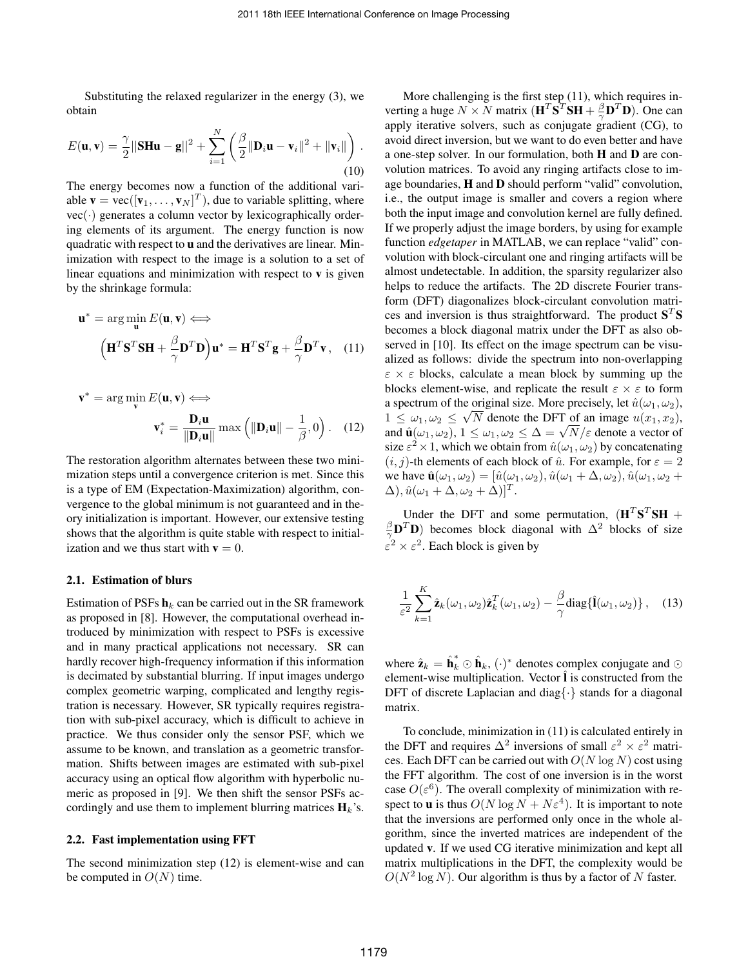Substituting the relaxed regularizer in the energy (3), we obtain

$$
E(\mathbf{u}, \mathbf{v}) = \frac{\gamma}{2} ||\mathbf{S} \mathbf{H} \mathbf{u} - \mathbf{g}||^2 + \sum_{i=1}^N \left( \frac{\beta}{2} ||\mathbf{D}_i \mathbf{u} - \mathbf{v}_i||^2 + ||\mathbf{v}_i|| \right).
$$
\n(10)

The energy becomes now a function of the additional variable  $\mathbf{v} = \text{vec}([\mathbf{v}_1, \dots, \mathbf{v}_N]^T)$ , due to variable splitting, where  $vec(\cdot)$  generates a column vector by lexicographically ordering elements of its argument. The energy function is now quadratic with respect to u and the derivatives are linear. Minimization with respect to the image is a solution to a set of linear equations and minimization with respect to  $v$  is given by the shrinkage formula:

$$
\mathbf{u}^* = \arg\min_{\mathbf{u}} E(\mathbf{u}, \mathbf{v}) \Longleftrightarrow
$$

$$
\left(\mathbf{H}^T \mathbf{S}^T \mathbf{S} \mathbf{H} + \frac{\beta}{\gamma} \mathbf{D}^T \mathbf{D}\right) \mathbf{u}^* = \mathbf{H}^T \mathbf{S}^T \mathbf{g} + \frac{\beta}{\gamma} \mathbf{D}^T \mathbf{v}, \quad (11)
$$

$$
\mathbf{v}^* = \arg\min_{\mathbf{v}} E(\mathbf{u}, \mathbf{v}) \Longleftrightarrow
$$

$$
\mathbf{v}_i^* = \frac{\mathbf{D}_i \mathbf{u}}{\|\mathbf{D}_i \mathbf{u}\|} \max \left( \|\mathbf{D}_i \mathbf{u}\| - \frac{1}{\beta}, 0 \right). \quad (12)
$$

The restoration algorithm alternates between these two minimization steps until a convergence criterion is met. Since this is a type of EM (Expectation-Maximization) algorithm, convergence to the global minimum is not guaranteed and in theory initialization is important. However, our extensive testing shows that the algorithm is quite stable with respect to initialization and we thus start with  $\mathbf{v} = 0$ .

#### 2.1. Estimation of blurs

Estimation of PSFs  $h_k$  can be carried out in the SR framework as proposed in [8]. However, the computational overhead introduced by minimization with respect to PSFs is excessive and in many practical applications not necessary. SR can hardly recover high-frequency information if this information is decimated by substantial blurring. If input images undergo complex geometric warping, complicated and lengthy registration is necessary. However, SR typically requires registration with sub-pixel accuracy, which is difficult to achieve in practice. We thus consider only the sensor PSF, which we assume to be known, and translation as a geometric transformation. Shifts between images are estimated with sub-pixel accuracy using an optical flow algorithm with hyperbolic numeric as proposed in [9]. We then shift the sensor PSFs accordingly and use them to implement blurring matrices  $H_k$ 's.

## 2.2. Fast implementation using FFT

The second minimization step (12) is element-wise and can be computed in  $O(N)$  time.

More challenging is the first step (11), which requires inverting a huge  $N \times N$  matrix  $(\mathbf{H}^T \mathbf{S}^T \mathbf{S} \mathbf{H} + \frac{\beta}{\gamma} \mathbf{D}^T \mathbf{D})$ . One can apply iterative solvers, such as conjugate gradient (CG), to avoid direct inversion, but we want to do even better and have a one-step solver. In our formulation, both H and D are convolution matrices. To avoid any ringing artifacts close to image boundaries, H and D should perform "valid" convolution, i.e., the output image is smaller and covers a region where both the input image and convolution kernel are fully defined. If we properly adjust the image borders, by using for example function *edgetaper* in MATLAB, we can replace "valid" convolution with block-circulant one and ringing artifacts will be almost undetectable. In addition, the sparsity regularizer also helps to reduce the artifacts. The 2D discrete Fourier transform (DFT) diagonalizes block-circulant convolution matrices and inversion is thus straightforward. The product  $S<sup>T</sup>S$ becomes a block diagonal matrix under the DFT as also observed in [10]. Its effect on the image spectrum can be visualized as follows: divide the spectrum into non-overlapping  $\epsilon \times \epsilon$  blocks, calculate a mean block by summing up the blocks element-wise, and replicate the result  $\varepsilon \times \varepsilon$  to form a spectrum of the original size. More precisely, let  $\hat{u}(\omega_1, \omega_2)$ ,  $1 \leq \omega_1, \omega_2 \leq \sqrt{N}$  denote the DFT of an image  $u(x_1, x_2)$ ,  $1 \leq \omega_1, \omega_2 \leq \sqrt{N}$  denote the DF1 of an image  $u(x_1, x_2)$ ,<br>and  $\hat{\mathbf{u}}(\omega_1, \omega_2)$ ,  $1 \leq \omega_1, \omega_2 \leq \Delta = \sqrt{N}/\varepsilon$  denote a vector of size  $\varepsilon^2 \times 1$ , which we obtain from  $\hat{u}(\omega_1, \omega_2)$  by concatenating  $(i, j)$ -th elements of each block of  $\hat{u}$ . For example, for  $\varepsilon = 2$ we have  $\hat{\mathbf{u}}(\omega_1, \omega_2) = [\hat{u}(\omega_1, \omega_2), \hat{u}(\omega_1 + \Delta, \omega_2), \hat{u}(\omega_1, \omega_2 + \omega_2)]$  $\Delta$ ),  $\hat{u}(\omega_1 + \Delta, \omega_2 + \Delta)]^T$ .

Under the DFT and some permutation,  $(\mathbf{H}^T \mathbf{S}^T \mathbf{S} \mathbf{H} + \mathbf{S}^T \mathbf{S})$  $\frac{\beta}{\gamma}$ **D**<sup>T</sup>**D**) becomes block diagonal with  $\Delta^2$  blocks of size  $\varepsilon^2 \times \varepsilon^2$ . Each block is given by

$$
\frac{1}{\varepsilon^2} \sum_{k=1}^K \hat{\mathbf{z}}_k(\omega_1, \omega_2) \hat{\mathbf{z}}_k^T(\omega_1, \omega_2) - \frac{\beta}{\gamma} \text{diag}\{\hat{\mathbf{l}}(\omega_1, \omega_2)\}, \quad (13)
$$

where  $\hat{\mathbf{z}}_k = \hat{\mathbf{h}}_k^* \odot \hat{\mathbf{h}}_k$ ,  $(\cdot)^*$  denotes complex conjugate and  $\odot$ element-wise multiplication. Vector  $\hat{\mathbf{l}}$  is constructed from the DFT of discrete Laplacian and diag $\{\cdot\}$  stands for a diagonal matrix.

To conclude, minimization in (11) is calculated entirely in the DFT and requires  $\Delta^2$  inversions of small  $\varepsilon^2 \times \varepsilon^2$  matrices. Each DFT can be carried out with  $O(N \log N)$  cost using the FFT algorithm. The cost of one inversion is in the worst case  $O(\varepsilon^6)$ . The overall complexity of minimization with respect to **u** is thus  $O(N \log N + N \varepsilon^4)$ . It is important to note that the inversions are performed only once in the whole algorithm, since the inverted matrices are independent of the updated v. If we used CG iterative minimization and kept all matrix multiplications in the DFT, the complexity would be  $O(N^2 \log N)$ . Our algorithm is thus by a factor of N faster.